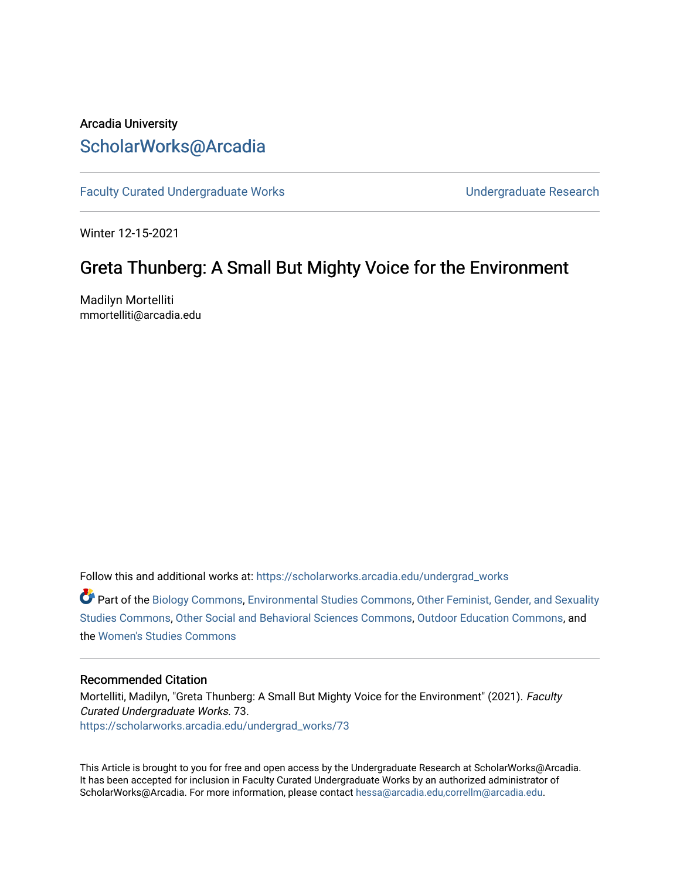# Arcadia University [ScholarWorks@Arcadia](https://scholarworks.arcadia.edu/)

[Faculty Curated Undergraduate Works](https://scholarworks.arcadia.edu/undergrad_works) **No. 2018** Undergraduate Research

Winter 12-15-2021

# Greta Thunberg: A Small But Mighty Voice for the Environment

Madilyn Mortelliti mmortelliti@arcadia.edu

Follow this and additional works at: [https://scholarworks.arcadia.edu/undergrad\\_works](https://scholarworks.arcadia.edu/undergrad_works?utm_source=scholarworks.arcadia.edu%2Fundergrad_works%2F73&utm_medium=PDF&utm_campaign=PDFCoverPages)

Part of the [Biology Commons,](http://network.bepress.com/hgg/discipline/41?utm_source=scholarworks.arcadia.edu%2Fundergrad_works%2F73&utm_medium=PDF&utm_campaign=PDFCoverPages) [Environmental Studies Commons](http://network.bepress.com/hgg/discipline/1333?utm_source=scholarworks.arcadia.edu%2Fundergrad_works%2F73&utm_medium=PDF&utm_campaign=PDFCoverPages), [Other Feminist, Gender, and Sexuality](http://network.bepress.com/hgg/discipline/562?utm_source=scholarworks.arcadia.edu%2Fundergrad_works%2F73&utm_medium=PDF&utm_campaign=PDFCoverPages)  [Studies Commons,](http://network.bepress.com/hgg/discipline/562?utm_source=scholarworks.arcadia.edu%2Fundergrad_works%2F73&utm_medium=PDF&utm_campaign=PDFCoverPages) [Other Social and Behavioral Sciences Commons](http://network.bepress.com/hgg/discipline/437?utm_source=scholarworks.arcadia.edu%2Fundergrad_works%2F73&utm_medium=PDF&utm_campaign=PDFCoverPages), [Outdoor Education Commons](http://network.bepress.com/hgg/discipline/1381?utm_source=scholarworks.arcadia.edu%2Fundergrad_works%2F73&utm_medium=PDF&utm_campaign=PDFCoverPages), and the [Women's Studies Commons](http://network.bepress.com/hgg/discipline/561?utm_source=scholarworks.arcadia.edu%2Fundergrad_works%2F73&utm_medium=PDF&utm_campaign=PDFCoverPages) 

#### Recommended Citation

Mortelliti, Madilyn, "Greta Thunberg: A Small But Mighty Voice for the Environment" (2021). Faculty Curated Undergraduate Works. 73. [https://scholarworks.arcadia.edu/undergrad\\_works/73](https://scholarworks.arcadia.edu/undergrad_works/73?utm_source=scholarworks.arcadia.edu%2Fundergrad_works%2F73&utm_medium=PDF&utm_campaign=PDFCoverPages) 

This Article is brought to you for free and open access by the Undergraduate Research at ScholarWorks@Arcadia. It has been accepted for inclusion in Faculty Curated Undergraduate Works by an authorized administrator of ScholarWorks@Arcadia. For more information, please contact [hessa@arcadia.edu,correllm@arcadia.edu.](mailto:hessa@arcadia.edu,correllm@arcadia.edu)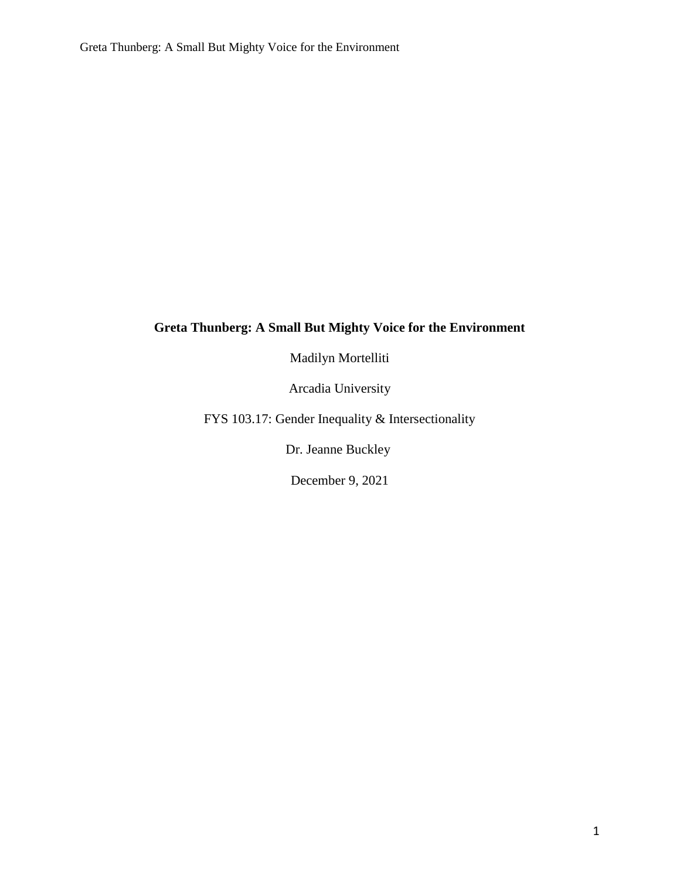## **Greta Thunberg: A Small But Mighty Voice for the Environment**

Madilyn Mortelliti

Arcadia University

FYS 103.17: Gender Inequality & Intersectionality

Dr. Jeanne Buckley

December 9, 2021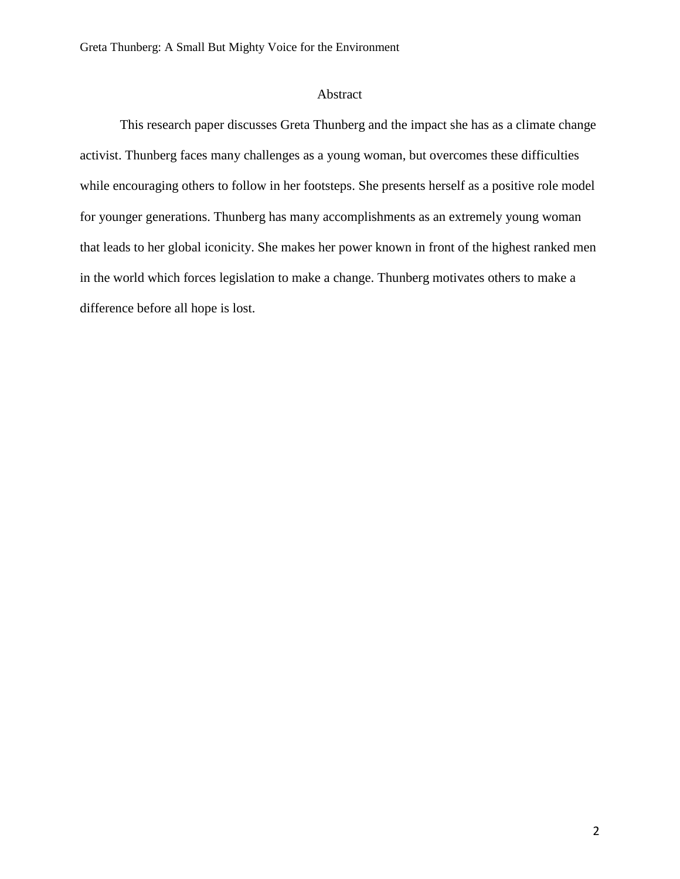### Abstract

This research paper discusses Greta Thunberg and the impact she has as a climate change activist. Thunberg faces many challenges as a young woman, but overcomes these difficulties while encouraging others to follow in her footsteps. She presents herself as a positive role model for younger generations. Thunberg has many accomplishments as an extremely young woman that leads to her global iconicity. She makes her power known in front of the highest ranked men in the world which forces legislation to make a change. Thunberg motivates others to make a difference before all hope is lost.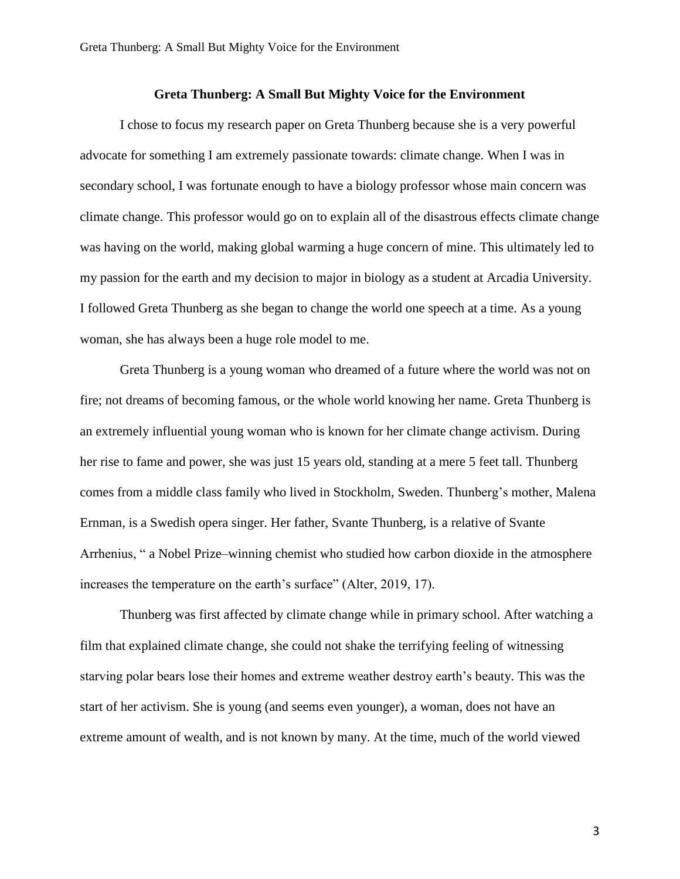### **Greta Thunberg: A Small But Mighty Voice for the Environment**

I chose to focus my research paper on Greta Thunberg because she is a very powerful advocate for something I am extremely passionate towards: climate change. When I was in secondary school, I was fortunate enough to have a biology professor whose main concern was climate change. This professor would go on to explain all of the disastrous effects climate change was having on the world, making global warming a huge concern of mine. This ultimately led to my passion for the earth and my decision to major in biology as a student at Arcadia University. I followed Greta Thunberg as she began to change the world one speech at a time. As a young woman, she has always been a huge role model to me.

Greta Thunberg is a young woman who dreamed of a future where the world was not on fire; not dreams of becoming famous, or the whole world knowing her name. Greta Thunberg is an extremely influential young woman who is known for her climate change activism. During her rise to fame and power, she was just 15 years old, standing at a mere 5 feet tall. Thunberg comes from a middle class family who lived in Stockholm, Sweden. Thunberg's mother, Malena Ernman, is a Swedish opera singer. Her father, Svante Thunberg, is a relative of Svante Arrhenius, " a Nobel Prize–winning chemist who studied how carbon dioxide in the atmosphere increases the temperature on the earth's surface" (Alter, 2019, 17).

Thunberg was first affected by climate change while in primary school. After watching a film that explained climate change, she could not shake the terrifying feeling of witnessing starving polar bears lose their homes and extreme weather destroy earth's beauty. This was the start of her activism. She is young (and seems even younger), a woman, does not have an extreme amount of wealth, and is not known by many. At the time, much of the world viewed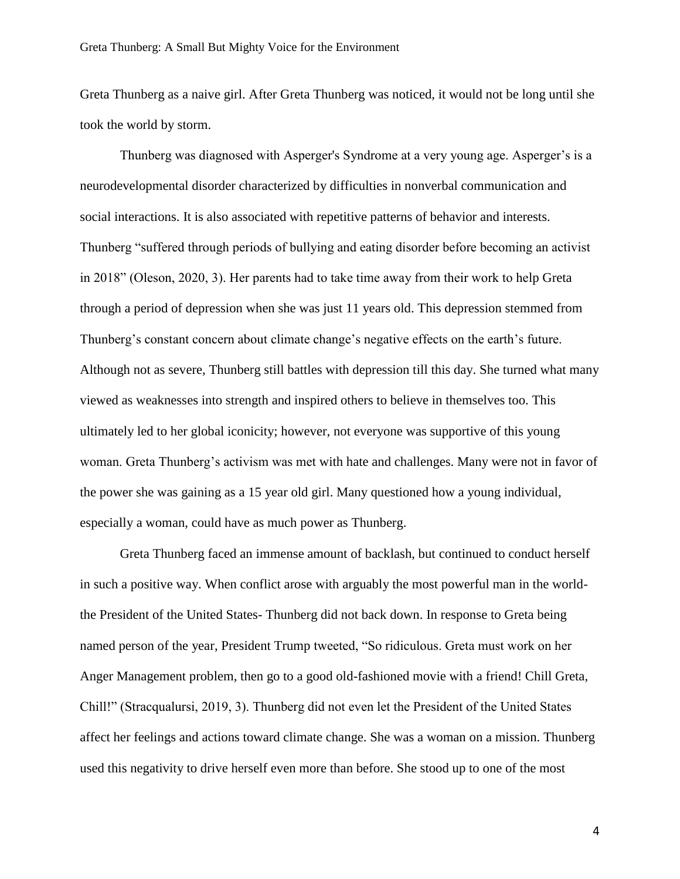Greta Thunberg as a naive girl. After Greta Thunberg was noticed, it would not be long until she took the world by storm.

Thunberg was diagnosed with Asperger's Syndrome at a very young age. Asperger's is a neurodevelopmental disorder characterized by difficulties in nonverbal communication and social interactions. It is also associated with repetitive patterns of behavior and interests. Thunberg "suffered through periods of bullying and eating disorder before becoming an activist in 2018" (Oleson, 2020, 3). Her parents had to take time away from their work to help Greta through a period of depression when she was just 11 years old. This depression stemmed from Thunberg's constant concern about climate change's negative effects on the earth's future. Although not as severe, Thunberg still battles with depression till this day. She turned what many viewed as weaknesses into strength and inspired others to believe in themselves too. This ultimately led to her global iconicity; however, not everyone was supportive of this young woman. Greta Thunberg's activism was met with hate and challenges. Many were not in favor of the power she was gaining as a 15 year old girl. Many questioned how a young individual, especially a woman, could have as much power as Thunberg.

Greta Thunberg faced an immense amount of backlash, but continued to conduct herself in such a positive way. When conflict arose with arguably the most powerful man in the worldthe President of the United States- Thunberg did not back down. In response to Greta being named person of the year, President Trump tweeted, "So ridiculous. Greta must work on her Anger Management problem, then go to a good old-fashioned movie with a friend! Chill Greta, Chill!" (Stracqualursi, 2019, 3). Thunberg did not even let the President of the United States affect her feelings and actions toward climate change. She was a woman on a mission. Thunberg used this negativity to drive herself even more than before. She stood up to one of the most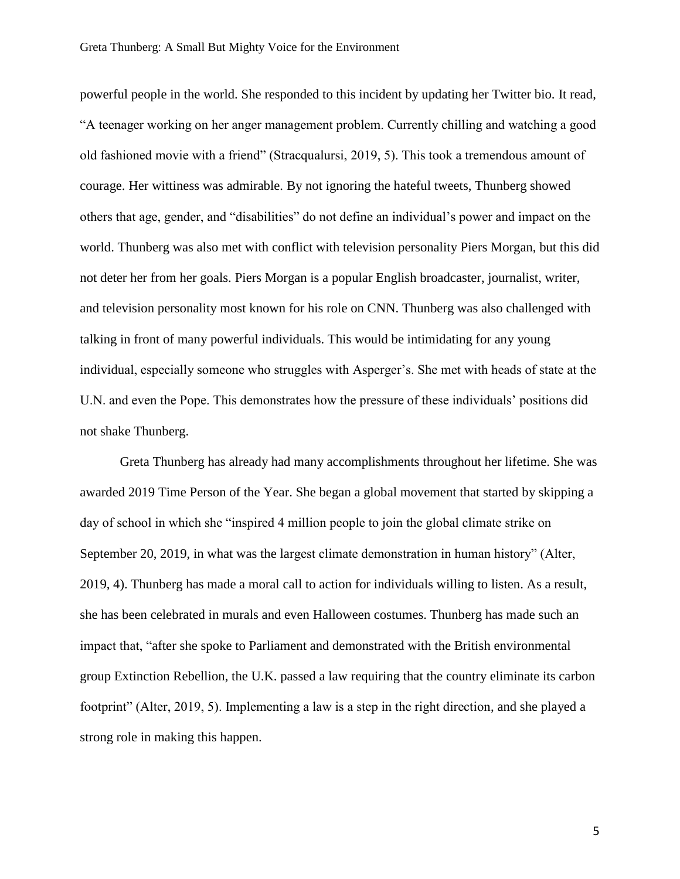powerful people in the world. She responded to this incident by updating her Twitter bio. It read, "A teenager working on her anger management problem. Currently chilling and watching a good old fashioned movie with a friend" (Stracqualursi, 2019, 5). This took a tremendous amount of courage. Her wittiness was admirable. By not ignoring the hateful tweets, Thunberg showed others that age, gender, and "disabilities" do not define an individual's power and impact on the world. Thunberg was also met with conflict with television personality Piers Morgan, but this did not deter her from her goals. Piers Morgan is a popular English broadcaster, journalist, writer, and television personality most known for his role on CNN. Thunberg was also challenged with talking in front of many powerful individuals. This would be intimidating for any young individual, especially someone who struggles with Asperger's. She met with heads of state at the U.N. and even the Pope. This demonstrates how the pressure of these individuals' positions did not shake Thunberg.

Greta Thunberg has already had many accomplishments throughout her lifetime. She was awarded 2019 Time Person of the Year. She began a global movement that started by skipping a day of school in which she "inspired 4 million people to join the global climate strike on September 20, 2019, in what was the largest climate demonstration in human history" (Alter, 2019, 4). Thunberg has made a moral call to action for individuals willing to listen. As a result, she has been celebrated in murals and even Halloween costumes. Thunberg has made such an impact that, "after she spoke to Parliament and demonstrated with the British environmental group Extinction Rebellion, the U.K. passed a law requiring that the country eliminate its carbon footprint" (Alter, 2019, 5). Implementing a law is a step in the right direction, and she played a strong role in making this happen.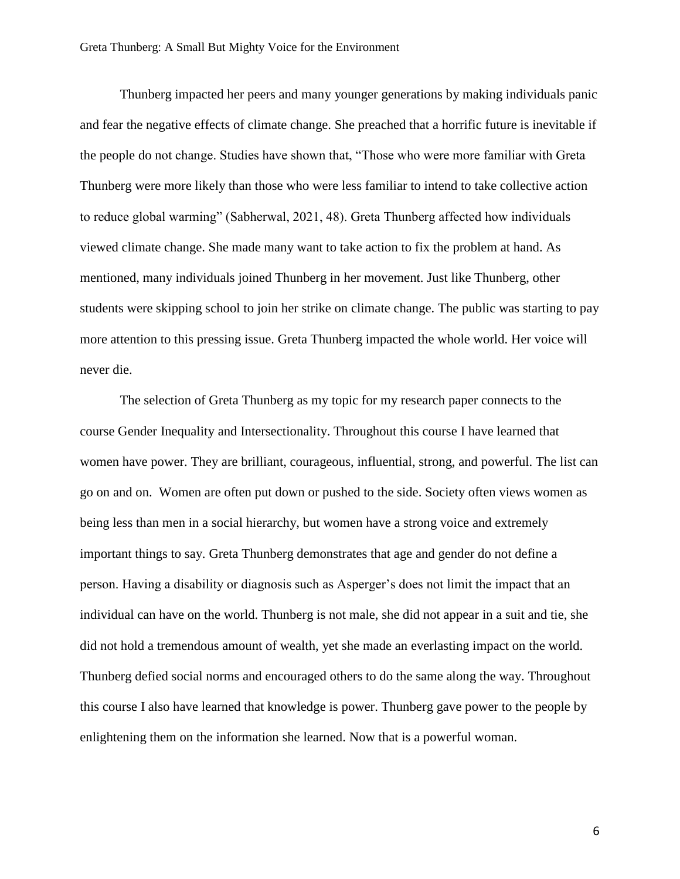Thunberg impacted her peers and many younger generations by making individuals panic and fear the negative effects of climate change. She preached that a horrific future is inevitable if the people do not change. Studies have shown that, "Those who were more familiar with Greta Thunberg were more likely than those who were less familiar to intend to take collective action to reduce global warming" (Sabherwal, 2021, 48). Greta Thunberg affected how individuals viewed climate change. She made many want to take action to fix the problem at hand. As mentioned, many individuals joined Thunberg in her movement. Just like Thunberg, other students were skipping school to join her strike on climate change. The public was starting to pay more attention to this pressing issue. Greta Thunberg impacted the whole world. Her voice will never die.

The selection of Greta Thunberg as my topic for my research paper connects to the course Gender Inequality and Intersectionality. Throughout this course I have learned that women have power. They are brilliant, courageous, influential, strong, and powerful. The list can go on and on. Women are often put down or pushed to the side. Society often views women as being less than men in a social hierarchy, but women have a strong voice and extremely important things to say. Greta Thunberg demonstrates that age and gender do not define a person. Having a disability or diagnosis such as Asperger's does not limit the impact that an individual can have on the world. Thunberg is not male, she did not appear in a suit and tie, she did not hold a tremendous amount of wealth, yet she made an everlasting impact on the world. Thunberg defied social norms and encouraged others to do the same along the way. Throughout this course I also have learned that knowledge is power. Thunberg gave power to the people by enlightening them on the information she learned. Now that is a powerful woman.